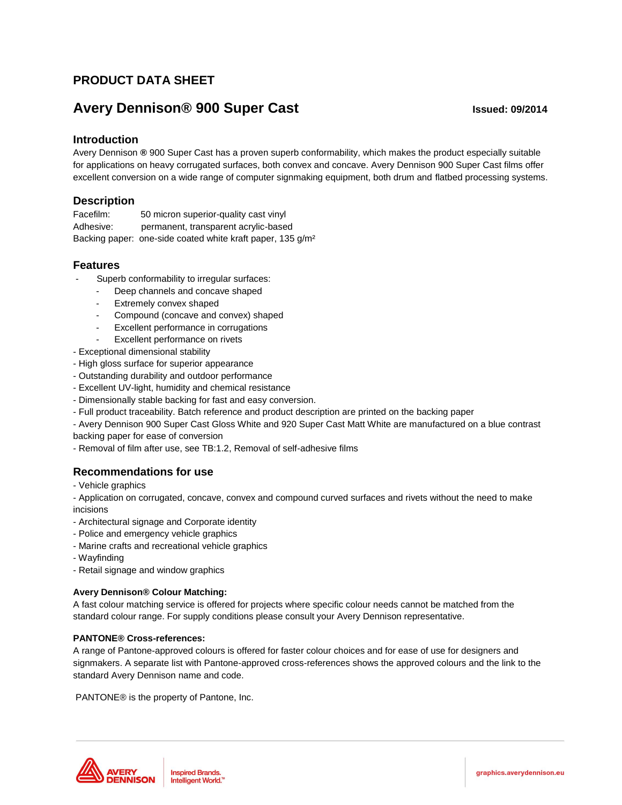# **PRODUCT DATA SHEET**

# **Avery Dennison® 900 Super Cast Issued: 09/2014**

# **Introduction**

Avery Dennison **®** 900 Super Cast has a proven superb conformability, which makes the product especially suitable for applications on heavy corrugated surfaces, both convex and concave. Avery Dennison 900 Super Cast films offer excellent conversion on a wide range of computer signmaking equipment, both drum and flatbed processing systems.

# **Description**

Facefilm: 50 micron superior-quality cast vinyl Adhesive: permanent, transparent acrylic-based Backing paper: one-side coated white kraft paper, 135 g/m²

# **Features**

- Superb conformability to irregular surfaces:
	- Deep channels and concave shaped
	- Extremely convex shaped
	- Compound (concave and convex) shaped
	- Excellent performance in corrugations
	- Excellent performance on rivets
- Exceptional dimensional stability
- High gloss surface for superior appearance
- Outstanding durability and outdoor performance
- Excellent UV-light, humidity and chemical resistance
- Dimensionally stable backing for fast and easy conversion.
- Full product traceability. Batch reference and product description are printed on the backing paper
- Avery Dennison 900 Super Cast Gloss White and 920 Super Cast Matt White are manufactured on a blue contrast
- backing paper for ease of conversion

- Removal of film after use, see TB:1.2, Removal of self-adhesive films

# **Recommendations for use**

- Vehicle graphics

- Application on corrugated, concave, convex and compound curved surfaces and rivets without the need to make incisions

- Architectural signage and Corporate identity
- Police and emergency vehicle graphics
- Marine crafts and recreational vehicle graphics
- Wayfinding
- Retail signage and window graphics

## **Avery Dennison® Colour Matching:**

A fast colour matching service is offered for projects where specific colour needs cannot be matched from the standard colour range. For supply conditions please consult your Avery Dennison representative.

## **PANTONE® Cross-references:**

A range of Pantone-approved colours is offered for faster colour choices and for ease of use for designers and signmakers. A separate list with Pantone-approved cross-references shows the approved colours and the link to the standard Avery Dennison name and code.

PANTONE® is the property of Pantone, Inc.